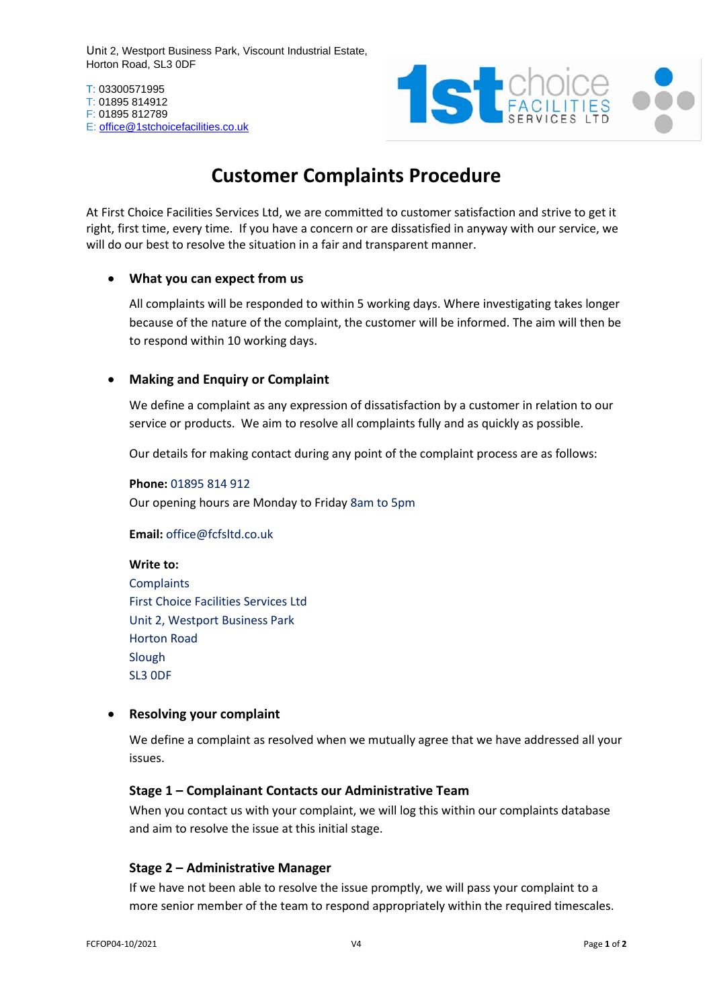Unit 2, Westport Business Park, Viscount Industrial Estate, Horton Road, SL3 0DF

T: 03300571995 T: 01895 814912 F: 01895 812789 E: [office@1stchoicefacilities.co.uk](mailto:office@1stchoicefacilities.co.uk)



# **Customer Complaints Procedure**

At First Choice Facilities Services Ltd, we are committed to customer satisfaction and strive to get it right, first time, every time. If you have a concern or are dissatisfied in anyway with our service, we will do our best to resolve the situation in a fair and transparent manner.

#### • **What you can expect from us**

All complaints will be responded to within 5 working days. Where investigating takes longer because of the nature of the complaint, the customer will be informed. The aim will then be to respond within 10 working days.

### • **Making and Enquiry or Complaint**

We define a complaint as any expression of dissatisfaction by a customer in relation to our service or products. We aim to resolve all complaints fully and as quickly as possible.

Our details for making contact during any point of the complaint process are as follows:

**Phone:** 01895 814 912 Our opening hours are Monday to Friday 8am to 5pm

**Email:** office@fcfsltd.co.uk

**Write to: Complaints** First Choice Facilities Services Ltd Unit 2, Westport Business Park Horton Road Slough SL3 0DF

#### • **Resolving your complaint**

We define a complaint as resolved when we mutually agree that we have addressed all your issues.

#### **Stage 1 – Complainant Contacts our Administrative Team**

When you contact us with your complaint, we will log this within our complaints database and aim to resolve the issue at this initial stage.

#### **Stage 2 – Administrative Manager**

If we have not been able to resolve the issue promptly, we will pass your complaint to a more senior member of the team to respond appropriately within the required timescales.